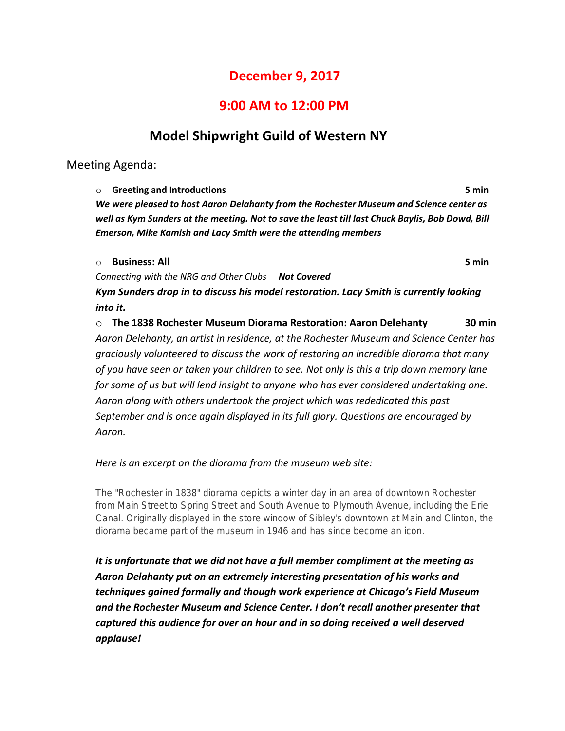# **December 9, 2017**

## **9:00 AM to 12:00 PM**

# **Model Shipwright Guild of Western NY**

Meeting Agenda:

o **Greeting and Introductions 5 min** *We were pleased to host Aaron Delahanty from the Rochester Museum and Science center as well as Kym Sunders at the meeting. Not to save the least till last Chuck Baylis, Bob Dowd, Bill Emerson, Mike Kamish and Lacy Smith were the attending members*

### o **Business: All 5 min**

*Connecting with the NRG and Other Clubs Not Covered*

*Kym Sunders drop in to discuss his model restoration. Lacy Smith is currently looking into it.*

o **The 1838 Rochester Museum Diorama Restoration: Aaron Delehanty 30 min** *Aaron Delehanty, an artist in residence, at the Rochester Museum and Science Center has graciously volunteered to discuss the work of restoring an incredible diorama that many of you have seen or taken your children to see. Not only is this a trip down memory lane for some of us but will lend insight to anyone who has ever considered undertaking one. Aaron along with others undertook the project which was rededicated this past September and is once again displayed in its full glory. Questions are encouraged by Aaron.*

### *Here is an excerpt on the diorama from the museum web site:*

*The "Rochester in 1838" diorama depicts a winter day in an area of downtown Rochester from Main Street to Spring Street and South Avenue to Plymouth Avenue, including the Erie Canal. Originally displayed in the store window of Sibley's downtown at Main and Clinton, the diorama became part of the museum in 1946 and has since become an icon.*

*It is unfortunate that we did not have a full member compliment at the meeting as Aaron Delahanty put on an extremely interesting presentation of his works and techniques gained formally and though work experience at Chicago's Field Museum and the Rochester Museum and Science Center. I don't recall another presenter that captured this audience for over an hour and in so doing received a well deserved applause!*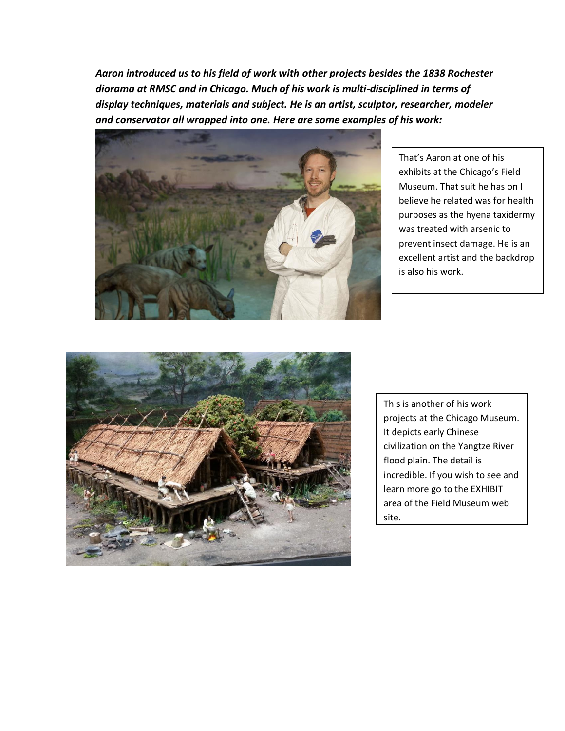*Aaron introduced us to his field of work with other projects besides the 1838 Rochester diorama at RMSC and in Chicago. Much of his work is multi-disciplined in terms of display techniques, materials and subject. He is an artist, sculptor, researcher, modeler and conservator all wrapped into one. Here are some examples of his work:*



That's Aaron at one of his exhibits at the Chicago's Field Museum. That suit he has on I believe he related was for health purposes as the hyena taxidermy was treated with arsenic to prevent insect damage. He is an excellent artist and the backdrop is also his work.



This is another of his work projects at the Chicago Museum. It depicts early Chinese civilization on the Yangtze River flood plain. The detail is incredible. If you wish to see and learn more go to the EXHIBIT area of the Field Museum web site.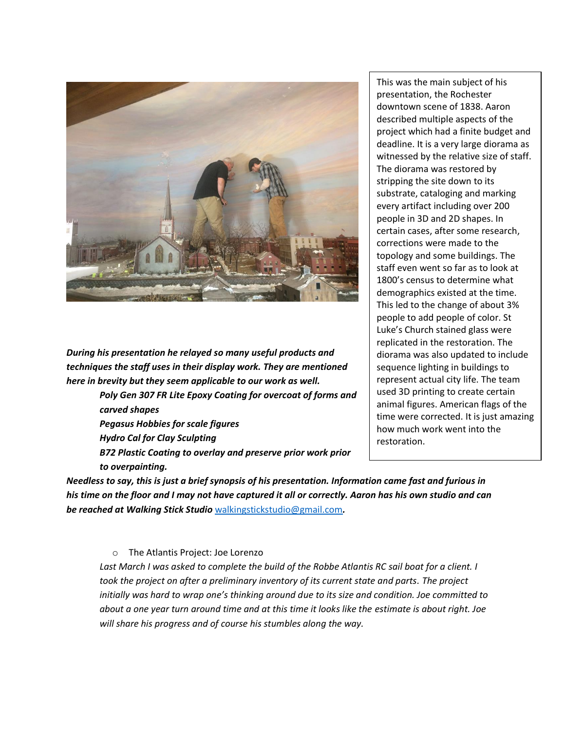

*During his presentation he relayed so many useful products and techniques the staff uses in their display work. They are mentioned here in brevity but they seem applicable to our work as well.* 

> *Poly Gen 307 FR Lite Epoxy Coating for overcoat of forms and carved shapes Pegasus Hobbies for scale figures Hydro Cal for Clay Sculpting B72 Plastic Coating to overlay and preserve prior work prior to overpainting.*

This was the main subject of his presentation, the Rochester downtown scene of 1838. Aaron described multiple aspects of the project which had a finite budget and deadline. It is a very large diorama as witnessed by the relative size of staff. The diorama was restored by stripping the site down to its substrate, cataloging and marking every artifact including over 200 people in 3D and 2D shapes. In certain cases, after some research, corrections were made to the topology and some buildings. The staff even went so far as to look at 1800's census to determine what demographics existed at the time. This led to the change of about 3% people to add people of color. St Luke's Church stained glass were replicated in the restoration. The diorama was also updated to include sequence lighting in buildings to represent actual city life. The team used 3D printing to create certain animal figures. American flags of the time were corrected. It is just amazing how much work went into the restoration.

*Needless to say, this is just a brief synopsis of his presentation. Information came fast and furious in his time on the floor and I may not have captured it all or correctly. Aaron has his own studio and can be reached at Walking Stick Studio* [walkingstickstudio@gmail.com](mailto:walkingstickstudio@gmail.com)*.*

### o The Atlantis Project: Joe Lorenzo

Last March I was asked to complete the build of the Robbe Atlantis RC sail boat for a client. I *took the project on after a preliminary inventory of its current state and parts. The project initially was hard to wrap one's thinking around due to its size and condition. Joe committed to about a one year turn around time and at this time it looks like the estimate is about right. Joe will share his progress and of course his stumbles along the way.*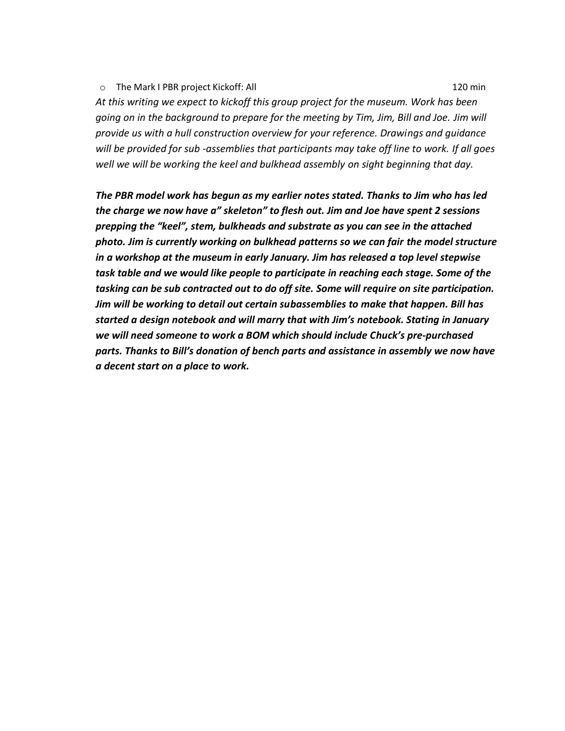#### o The Mark I PBR project Kickoff: All 120 min

*At this writing we expect to kickoff this group project for the museum. Work has been going on in the background to prepare for the meeting by Tim, Jim, Bill and Joe. Jim will provide us with a hull construction overview for your reference. Drawings and guidance will be provided for sub -assemblies that participants may take off line to work. If all goes well we will be working the keel and bulkhead assembly on sight beginning that day.*

*The PBR model work has begun as my earlier notes stated. Thanks to Jim who has led the charge we now have a" skeleton" to flesh out. Jim and Joe have spent 2 sessions prepping the "keel", stem, bulkheads and substrate as you can see in the attached photo. Jim is currently working on bulkhead patterns so we can fair the model structure in a workshop at the museum in early January. Jim has released a top level stepwise task table and we would like people to participate in reaching each stage. Some of the tasking can be sub contracted out to do off site. Some will require on site participation. Jim will be working to detail out certain subassemblies to make that happen. Bill has started a design notebook and will marry that with Jim's notebook. Stating in January we will need someone to work a BOM which should include Chuck's pre-purchased parts. Thanks to Bill's donation of bench parts and assistance in assembly we now have a decent start on a place to work.*